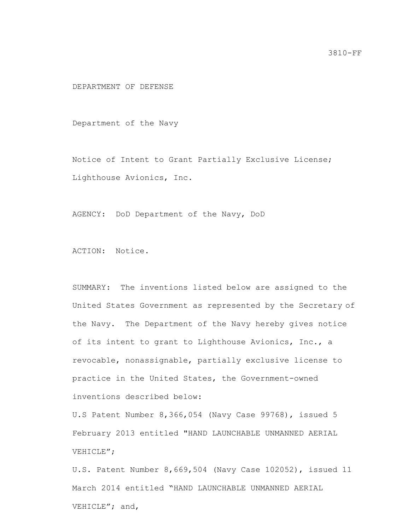DEPARTMENT OF DEFENSE

Department of the Navy

Notice of Intent to Grant Partially Exclusive License; Lighthouse Avionics, Inc.

AGENCY: DoD Department of the Navy, DoD

ACTION: Notice.

SUMMARY: The inventions listed below are assigned to the United States Government as represented by the Secretary of the Navy. The Department of the Navy hereby gives notice of its intent to grant to Lighthouse Avionics, Inc., a revocable, nonassignable, partially exclusive license to practice in the United States, the Government-owned inventions described below:

U.S Patent Number 8,366,054 (Navy Case 99768), issued 5 February 2013 entitled "HAND LAUNCHABLE UNMANNED AERIAL VEHICLE";

U.S. Patent Number 8,669,504 (Navy Case 102052), issued 11 March 2014 entitled "HAND LAUNCHABLE UNMANNED AERIAL VEHICLE"; and,